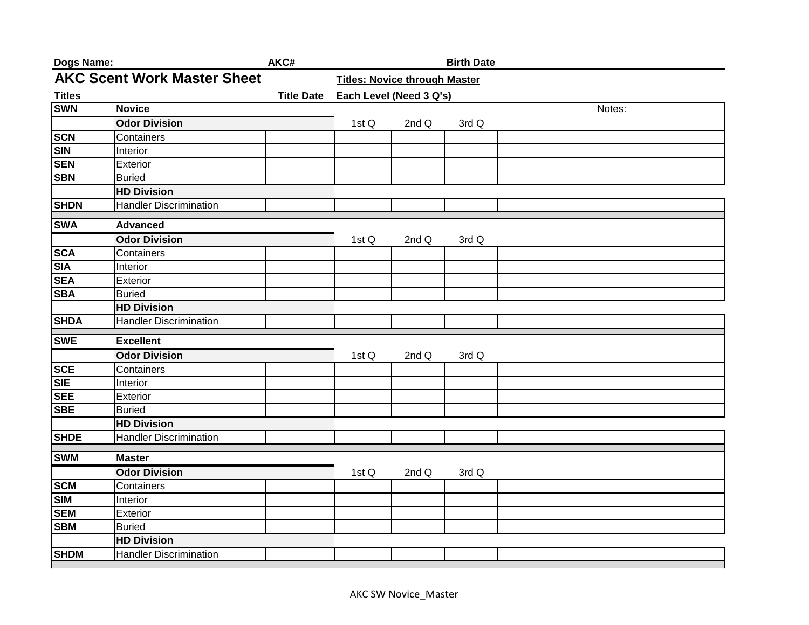| Dogs Name:                         |                               | AKC#              |                                      |       | <b>Birth Date</b> |        |
|------------------------------------|-------------------------------|-------------------|--------------------------------------|-------|-------------------|--------|
| <b>AKC Scent Work Master Sheet</b> |                               |                   | <b>Titles: Novice through Master</b> |       |                   |        |
| <b>Titles</b>                      |                               | <b>Title Date</b> | Each Level (Need 3 Q's)              |       |                   |        |
| <b>SWN</b>                         | <b>Novice</b>                 |                   |                                      |       |                   | Notes: |
|                                    | <b>Odor Division</b>          |                   | 1st Q                                | 2nd Q | 3rd Q             |        |
| <b>SCN</b>                         | Containers                    |                   |                                      |       |                   |        |
| <b>SIN</b>                         | Interior                      |                   |                                      |       |                   |        |
| <b>SEN</b>                         | Exterior                      |                   |                                      |       |                   |        |
| <b>SBN</b>                         | <b>Buried</b>                 |                   |                                      |       |                   |        |
|                                    | <b>HD Division</b>            |                   |                                      |       |                   |        |
| <b>SHDN</b>                        | <b>Handler Discrimination</b> |                   |                                      |       |                   |        |
| <b>SWA</b>                         | <b>Advanced</b>               |                   |                                      |       |                   |        |
|                                    | <b>Odor Division</b>          |                   | 1st Q                                | 2nd Q | 3rd Q             |        |
| <b>SCA</b>                         | Containers                    |                   |                                      |       |                   |        |
| <b>SIA</b>                         | Interior                      |                   |                                      |       |                   |        |
| <b>SEA</b>                         | Exterior                      |                   |                                      |       |                   |        |
| <b>SBA</b>                         | <b>Buried</b>                 |                   |                                      |       |                   |        |
|                                    | <b>HD Division</b>            |                   |                                      |       |                   |        |
| <b>SHDA</b>                        | <b>Handler Discrimination</b> |                   |                                      |       |                   |        |
| <b>SWE</b>                         | <b>Excellent</b>              |                   |                                      |       |                   |        |
|                                    | <b>Odor Division</b>          |                   | 1st Q                                | 2nd Q | 3rd Q             |        |
| <b>SCE</b>                         | Containers                    |                   |                                      |       |                   |        |
| <b>SIE</b>                         | Interior                      |                   |                                      |       |                   |        |
| <b>SEE</b>                         | Exterior                      |                   |                                      |       |                   |        |
| <b>SBE</b>                         | <b>Buried</b>                 |                   |                                      |       |                   |        |
|                                    | <b>HD Division</b>            |                   |                                      |       |                   |        |
| <b>SHDE</b>                        | <b>Handler Discrimination</b> |                   |                                      |       |                   |        |
| <b>SWM</b>                         | <b>Master</b>                 |                   |                                      |       |                   |        |
|                                    | <b>Odor Division</b>          |                   | 1st Q                                | 2nd Q | 3rd Q             |        |
| <b>SCM</b>                         | Containers                    |                   |                                      |       |                   |        |
| <b>SIM</b>                         | Interior                      |                   |                                      |       |                   |        |
| <b>SEM</b>                         | Exterior                      |                   |                                      |       |                   |        |
| <b>SBM</b>                         | <b>Buried</b>                 |                   |                                      |       |                   |        |
|                                    | <b>HD Division</b>            |                   |                                      |       |                   |        |
| <b>SHDM</b>                        | <b>Handler Discrimination</b> |                   |                                      |       |                   |        |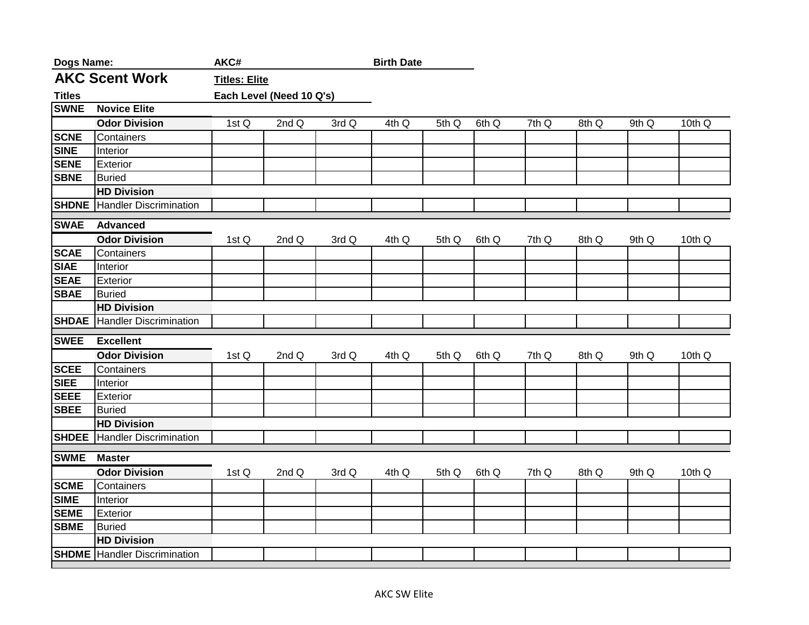| <b>Dogs Name:</b> |                               | AKC#                 |                          |       | <b>Birth Date</b> |       |       |       |       |       |        |
|-------------------|-------------------------------|----------------------|--------------------------|-------|-------------------|-------|-------|-------|-------|-------|--------|
|                   | <b>AKC Scent Work</b>         | <b>Titles: Elite</b> |                          |       |                   |       |       |       |       |       |        |
| <b>Titles</b>     |                               |                      | Each Level (Need 10 Q's) |       |                   |       |       |       |       |       |        |
| <b>SWNE</b>       | <b>Novice Elite</b>           |                      |                          |       |                   |       |       |       |       |       |        |
|                   | <b>Odor Division</b>          | 1st Q                | 2nd Q                    | 3rd Q | 4th Q             | 5th Q | 6th Q | 7th Q | 8th Q | 9th Q | 10th Q |
| <b>SCNE</b>       | Containers                    |                      |                          |       |                   |       |       |       |       |       |        |
| <b>SINE</b>       | Interior                      |                      |                          |       |                   |       |       |       |       |       |        |
| <b>SENE</b>       | Exterior                      |                      |                          |       |                   |       |       |       |       |       |        |
| <b>SBNE</b>       | <b>Buried</b>                 |                      |                          |       |                   |       |       |       |       |       |        |
|                   | <b>HD Division</b>            |                      |                          |       |                   |       |       |       |       |       |        |
| <b>SHDNE</b>      | <b>Handler Discrimination</b> |                      |                          |       |                   |       |       |       |       |       |        |
| <b>SWAE</b>       | <b>Advanced</b>               |                      |                          |       |                   |       |       |       |       |       |        |
|                   | <b>Odor Division</b>          | 1st Q                | 2nd Q                    | 3rd Q | 4th Q             | 5th Q | 6th Q | 7th Q | 8th Q | 9th Q | 10th Q |
| <b>SCAE</b>       | Containers                    |                      |                          |       |                   |       |       |       |       |       |        |
| <b>SIAE</b>       | Interior                      |                      |                          |       |                   |       |       |       |       |       |        |
| <b>SEAE</b>       | Exterior                      |                      |                          |       |                   |       |       |       |       |       |        |
| <b>SBAE</b>       | <b>Buried</b>                 |                      |                          |       |                   |       |       |       |       |       |        |
|                   | <b>HD Division</b>            |                      |                          |       |                   |       |       |       |       |       |        |
| <b>SHDAE</b>      | <b>Handler Discrimination</b> |                      |                          |       |                   |       |       |       |       |       |        |
| <b>SWEE</b>       | <b>Excellent</b>              |                      |                          |       |                   |       |       |       |       |       |        |
|                   | <b>Odor Division</b>          | 1st Q                | 2nd Q                    | 3rd Q | 4th Q             | 5th Q | 6th Q | 7th Q | 8th Q | 9th Q | 10th Q |
| <b>SCEE</b>       | Containers                    |                      |                          |       |                   |       |       |       |       |       |        |
| <b>SIEE</b>       | Interior                      |                      |                          |       |                   |       |       |       |       |       |        |
| <b>SEEE</b>       | Exterior                      |                      |                          |       |                   |       |       |       |       |       |        |
| <b>SBEE</b>       | <b>Buried</b>                 |                      |                          |       |                   |       |       |       |       |       |        |
|                   | <b>HD Division</b>            |                      |                          |       |                   |       |       |       |       |       |        |
| <b>SHDEE</b>      | <b>Handler Discrimination</b> |                      |                          |       |                   |       |       |       |       |       |        |
| <b>SWME</b>       | <b>Master</b>                 |                      |                          |       |                   |       |       |       |       |       |        |
|                   | <b>Odor Division</b>          | 1st Q                | 2nd Q                    | 3rd Q | 4th Q             | 5th Q | 6th Q | 7th Q | 8th Q | 9th Q | 10th Q |
| <b>SCME</b>       | Containers                    |                      |                          |       |                   |       |       |       |       |       |        |
| <b>SIME</b>       | Interior                      |                      |                          |       |                   |       |       |       |       |       |        |
| <b>SEME</b>       | Exterior                      |                      |                          |       |                   |       |       |       |       |       |        |
| <b>SBME</b>       | <b>Buried</b>                 |                      |                          |       |                   |       |       |       |       |       |        |
|                   | <b>HD Division</b>            |                      |                          |       |                   |       |       |       |       |       |        |
| <b>SHDME</b>      | <b>Handler Discrimination</b> |                      |                          |       |                   |       |       |       |       |       |        |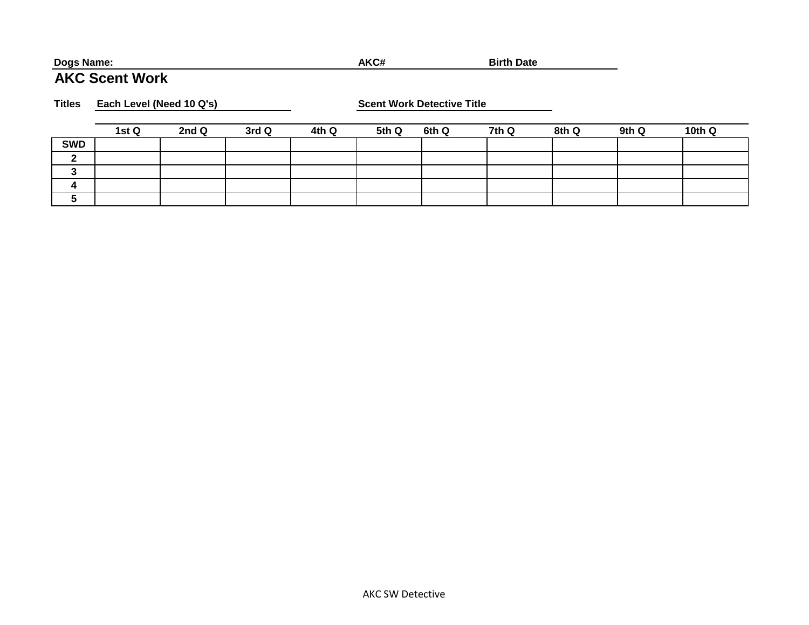## **Dogs Name: AKC# Birth Date**

## **AKC Scent Work**

**Titles Each Level (Need 10 Q's) Scent Work Detective Title**

|            | 1st Q | 2nd Q | 3rd Q | 4th Q | 5th Q | 6th Q | 7th Q | 8th Q | 9th Q | 10th Q |
|------------|-------|-------|-------|-------|-------|-------|-------|-------|-------|--------|
| <b>SWD</b> |       |       |       |       |       |       |       |       |       |        |
| $\sqrt{2}$ |       |       |       |       |       |       |       |       |       |        |
|            |       |       |       |       |       |       |       |       |       |        |
|            |       |       |       |       |       |       |       |       |       |        |
|            |       |       |       |       |       |       |       |       |       |        |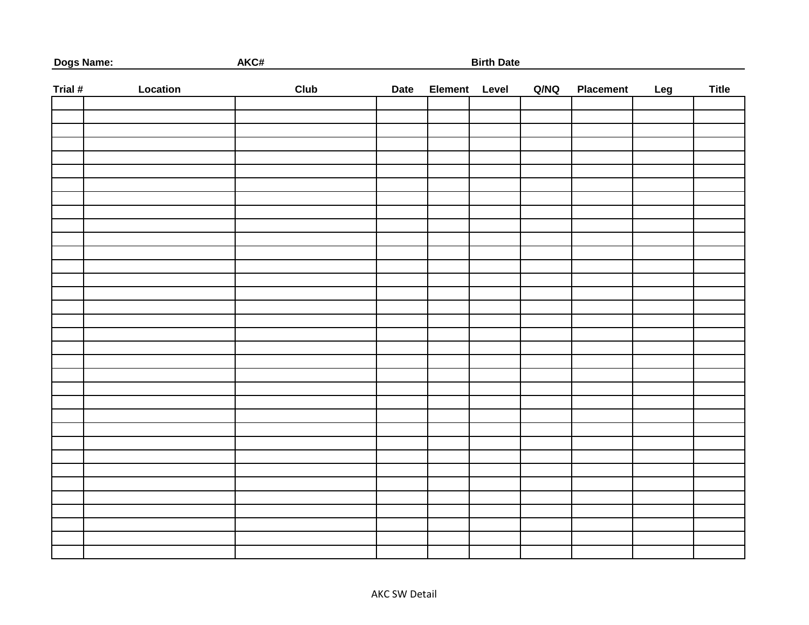| Dogs Name: |          | AKC#<br><b>Birth Date</b> |             |               |  |      |                  |     |              |  |  |
|------------|----------|---------------------------|-------------|---------------|--|------|------------------|-----|--------------|--|--|
| Trial #    | Location | <b>Club</b>               | <b>Date</b> | Element Level |  | Q/NQ | <b>Placement</b> | Leg | <b>Title</b> |  |  |
|            |          |                           |             |               |  |      |                  |     |              |  |  |
|            |          |                           |             |               |  |      |                  |     |              |  |  |
|            |          |                           |             |               |  |      |                  |     |              |  |  |
|            |          |                           |             |               |  |      |                  |     |              |  |  |
|            |          |                           |             |               |  |      |                  |     |              |  |  |
|            |          |                           |             |               |  |      |                  |     |              |  |  |
|            |          |                           |             |               |  |      |                  |     |              |  |  |
|            |          |                           |             |               |  |      |                  |     |              |  |  |
|            |          |                           |             |               |  |      |                  |     |              |  |  |
|            |          |                           |             |               |  |      |                  |     |              |  |  |
|            |          |                           |             |               |  |      |                  |     |              |  |  |
|            |          |                           |             |               |  |      |                  |     |              |  |  |
|            |          |                           |             |               |  |      |                  |     |              |  |  |
|            |          |                           |             |               |  |      |                  |     |              |  |  |
|            |          |                           |             |               |  |      |                  |     |              |  |  |
|            |          |                           |             |               |  |      |                  |     |              |  |  |
|            |          |                           |             |               |  |      |                  |     |              |  |  |
|            |          |                           |             |               |  |      |                  |     |              |  |  |
|            |          |                           |             |               |  |      |                  |     |              |  |  |
|            |          |                           |             |               |  |      |                  |     |              |  |  |
|            |          |                           |             |               |  |      |                  |     |              |  |  |
|            |          |                           |             |               |  |      |                  |     |              |  |  |
|            |          |                           |             |               |  |      |                  |     |              |  |  |
|            |          |                           |             |               |  |      |                  |     |              |  |  |
|            |          |                           |             |               |  |      |                  |     |              |  |  |
|            |          |                           |             |               |  |      |                  |     |              |  |  |
|            |          |                           |             |               |  |      |                  |     |              |  |  |
|            |          |                           |             |               |  |      |                  |     |              |  |  |
|            |          |                           |             |               |  |      |                  |     |              |  |  |
|            |          |                           |             |               |  |      |                  |     |              |  |  |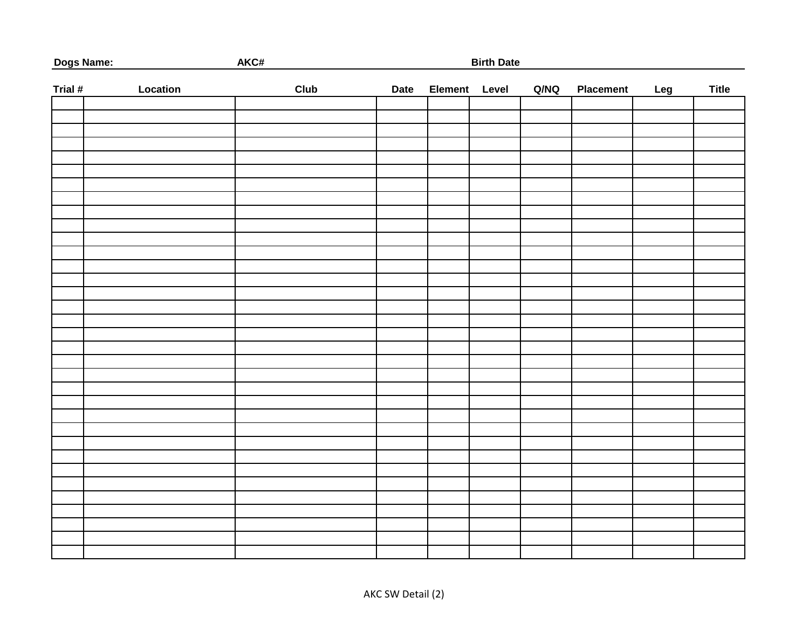| Dogs Name: |          | AKC#<br><b>Birth Date</b> |             |  |               |      |                  |     |              |  |
|------------|----------|---------------------------|-------------|--|---------------|------|------------------|-----|--------------|--|
| Trial #    | Location | <b>Club</b>               | <b>Date</b> |  | Element Level | Q/NQ | <b>Placement</b> | Leg | <b>Title</b> |  |
|            |          |                           |             |  |               |      |                  |     |              |  |
|            |          |                           |             |  |               |      |                  |     |              |  |
|            |          |                           |             |  |               |      |                  |     |              |  |
|            |          |                           |             |  |               |      |                  |     |              |  |
|            |          |                           |             |  |               |      |                  |     |              |  |
|            |          |                           |             |  |               |      |                  |     |              |  |
|            |          |                           |             |  |               |      |                  |     |              |  |
|            |          |                           |             |  |               |      |                  |     |              |  |
|            |          |                           |             |  |               |      |                  |     |              |  |
|            |          |                           |             |  |               |      |                  |     |              |  |
|            |          |                           |             |  |               |      |                  |     |              |  |
|            |          |                           |             |  |               |      |                  |     |              |  |
|            |          |                           |             |  |               |      |                  |     |              |  |
|            |          |                           |             |  |               |      |                  |     |              |  |
|            |          |                           |             |  |               |      |                  |     |              |  |
|            |          |                           |             |  |               |      |                  |     |              |  |
|            |          |                           |             |  |               |      |                  |     |              |  |
|            |          |                           |             |  |               |      |                  |     |              |  |
|            |          |                           |             |  |               |      |                  |     |              |  |
|            |          |                           |             |  |               |      |                  |     |              |  |
|            |          |                           |             |  |               |      |                  |     |              |  |
|            |          |                           |             |  |               |      |                  |     |              |  |
|            |          |                           |             |  |               |      |                  |     |              |  |
|            |          |                           |             |  |               |      |                  |     |              |  |
|            |          |                           |             |  |               |      |                  |     |              |  |
|            |          |                           |             |  |               |      |                  |     |              |  |
|            |          |                           |             |  |               |      |                  |     |              |  |
|            |          |                           |             |  |               |      |                  |     |              |  |
|            |          |                           |             |  |               |      |                  |     |              |  |
|            |          |                           |             |  |               |      |                  |     |              |  |
|            |          |                           |             |  |               |      |                  |     |              |  |
|            |          |                           |             |  |               |      |                  |     |              |  |